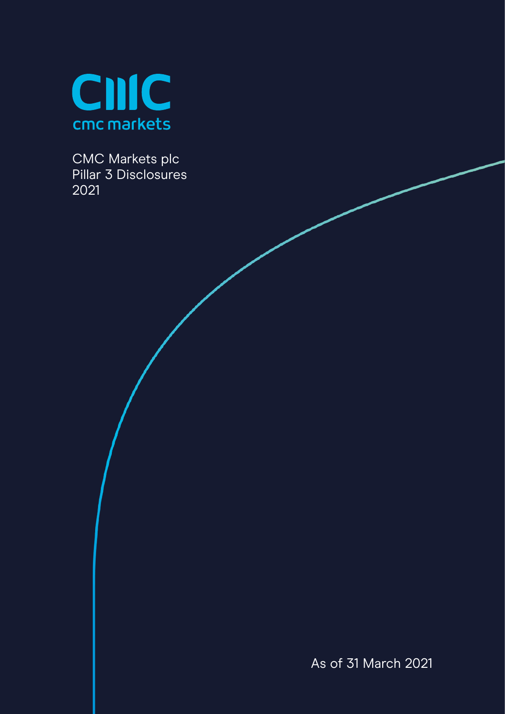

CMC Markets plc Pillar 3 Disclosures 2021

As of 31 March 2021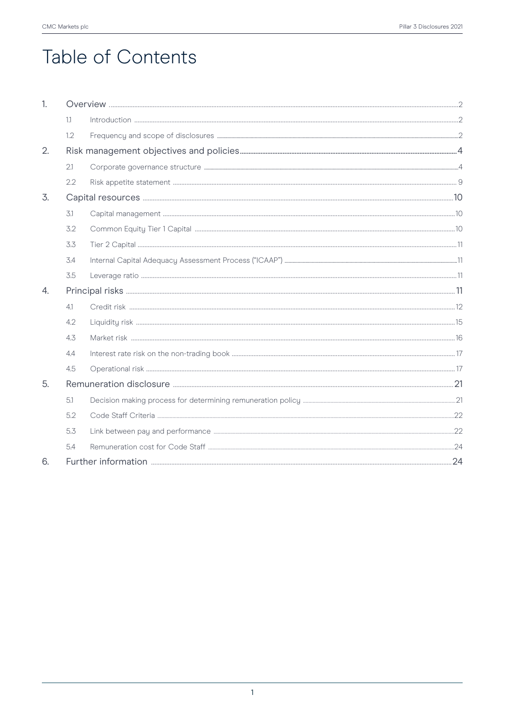# Table of Contents

| 1. |     |  |  |  |
|----|-----|--|--|--|
|    | 1.1 |  |  |  |
|    | 1.2 |  |  |  |
| 2. |     |  |  |  |
|    | 2.1 |  |  |  |
|    | 2.2 |  |  |  |
| 3. |     |  |  |  |
|    | 3.1 |  |  |  |
|    | 3.2 |  |  |  |
|    | 3.3 |  |  |  |
|    | 3.4 |  |  |  |
|    | 3.5 |  |  |  |
| 4. |     |  |  |  |
|    | 4.1 |  |  |  |
|    | 4.2 |  |  |  |
|    | 4.3 |  |  |  |
|    | 4.4 |  |  |  |
|    | 4.5 |  |  |  |
| 5. |     |  |  |  |
|    | 5.1 |  |  |  |
|    | 5.2 |  |  |  |
|    | 5.3 |  |  |  |
|    | 5.4 |  |  |  |
| 6. |     |  |  |  |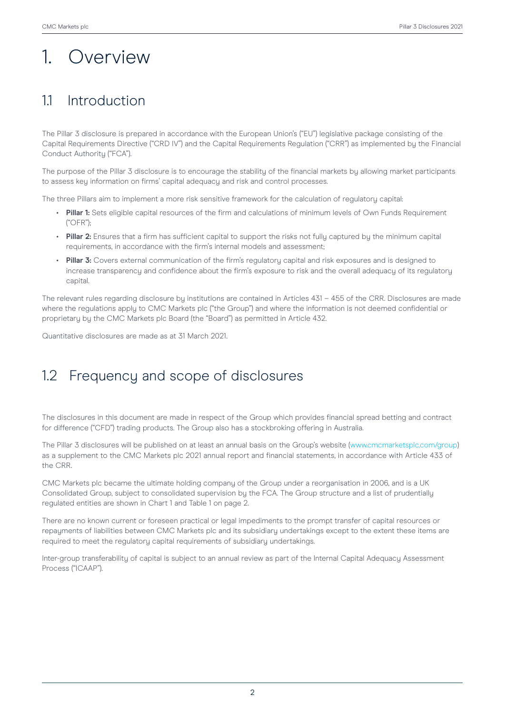# 1. Overview

## 1.1 Introduction

The Pillar 3 disclosure is prepared in accordance with the European Union's ("EU") legislative package consisting of the Capital Requirements Directive ("CRD IV") and the Capital Requirements Regulation ("CRR") as implemented by the Financial Conduct Authority ("FCA").

The purpose of the Pillar 3 disclosure is to encourage the stability of the financial markets by allowing market participants to assess key information on firms' capital adequacy and risk and control processes.

The three Pillars aim to implement a more risk sensitive framework for the calculation of regulatory capital:

- **• Pillar 1:** Sets eligible capital resources of the firm and calculations of minimum levels of Own Funds Requirement ("OFR");
- **• Pillar 2:** Ensures that a firm has sufficient capital to support the risks not fully captured by the minimum capital requirements, in accordance with the firm's internal models and assessment;
- **• Pillar 3:** Covers external communication of the firm's regulatory capital and risk exposures and is designed to increase transparency and confidence about the firm's exposure to risk and the overall adequacy of its regulatory capital.

The relevant rules regarding disclosure by institutions are contained in Articles 431 – 455 of the CRR. Disclosures are made where the regulations apply to CMC Markets plc ("the Group") and where the information is not deemed confidential or proprietary by the CMC Markets plc Board (the "Board") as permitted in Article 432.

Quantitative disclosures are made as at 31 March 2021.

## 1.2 Frequency and scope of disclosures

The disclosures in this document are made in respect of the Group which provides financial spread betting and contract for difference ("CFD") trading products. The Group also has a stockbroking offering in Australia.

The Pillar 3 disclosures will be published on at least an annual basis on the Group's website (www.cmcmarketsplc.com/group) as a supplement to the CMC Markets plc 2021 annual report and financial statements, in accordance with Article 433 of the CRR.

CMC Markets plc became the ultimate holding company of the Group under a reorganisation in 2006, and is a UK Consolidated Group, subject to consolidated supervision by the FCA. The Group structure and a list of prudentially regulated entities are shown in Chart 1 and Table 1 on page 2.

There are no known current or foreseen practical or legal impediments to the prompt transfer of capital resources or repayments of liabilities between CMC Markets plc and its subsidiary undertakings except to the extent these items are required to meet the regulatory capital requirements of subsidiary undertakings.

Inter-group transferability of capital is subject to an annual review as part of the Internal Capital Adequacy Assessment Process ("ICAAP").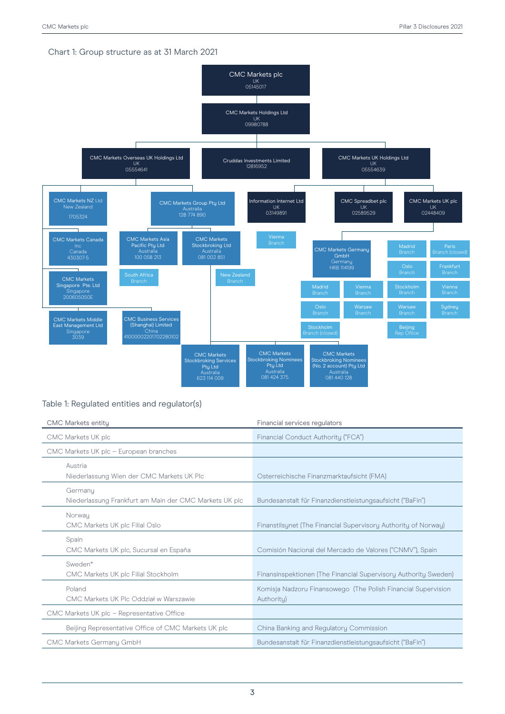### Chart 1: Group structure as at 31 March 2021



### Table 1: Regulated entities and regulator(s)

| <b>CMC Markets entity</b>                                         | Financial services regulators                                               |
|-------------------------------------------------------------------|-----------------------------------------------------------------------------|
| CMC Markets UK plc                                                | Financial Conduct Authority ("FCA")                                         |
| CMC Markets UK plc - European branches                            |                                                                             |
| Austria<br>Niederlassung Wien der CMC Markets UK Plc              | Osterreichische Finanzmarktaufsicht (FMA)                                   |
| Germany<br>Niederlassung Frankfurt am Main der CMC Markets UK plc | Bundesanstalt fűr Finanzdienstleistungsaufsicht ("BaFin")                   |
| Norway<br>CMC Markets UK plc Filial Oslo                          | Finanstilsunet (The Financial Supervisory Authority of Norway)              |
| Spain<br>CMC Markets UK plc, Sucursal en España                   | Comisión Nacional del Mercado de Valores ("CNMV"), Spain                    |
| Sweden*<br>CMC Markets UK plc Filial Stockholm                    | Finansinspektionen (The Financial Supervisory Authority Sweden)             |
| Poland<br>CMC Markets UK Plc Oddział w Warszawie                  | Komisja Nadzoru Finansowego (The Polish Financial Supervision<br>Authority) |
| CMC Markets UK plc - Representative Office                        |                                                                             |
| Beijing Representative Office of CMC Markets UK plc               | China Banking and Regulatory Commission                                     |
| CMC Markets Germany GmbH                                          | Bundesanstalt für Finanzdienstleistungsaufsicht ("BaFin")                   |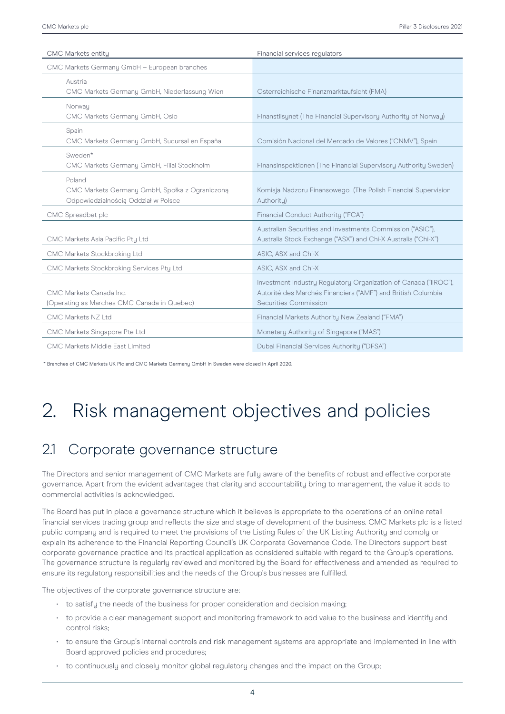| <b>CMC Markets entity</b>                                                                       | Financial services regulators                                                                                                                             |
|-------------------------------------------------------------------------------------------------|-----------------------------------------------------------------------------------------------------------------------------------------------------------|
| CMC Markets Germany GmbH - European branches                                                    |                                                                                                                                                           |
| Austria<br>CMC Markets Germany GmbH, Niederlassung Wien                                         | Osterreichische Finanzmarktaufsicht (FMA)                                                                                                                 |
| Norwau<br>CMC Markets Germany GmbH, Oslo                                                        | Finanstilsunet (The Financial Supervisory Authority of Norway)                                                                                            |
| Spain<br>CMC Markets Germany GmbH, Sucursal en España                                           | Comisión Nacional del Mercado de Valores ("CNMV"), Spain                                                                                                  |
| Sweden*<br>CMC Markets Germany GmbH, Filial Stockholm                                           | Finansinspektionen (The Financial Supervisory Authority Sweden)                                                                                           |
| Poland<br>CMC Markets Germany GmbH, Społka z Ograniczoną<br>Odpowiedzialnością Oddział w Polsce | Komisja Nadzoru Finansowego (The Polish Financial Supervision<br>Authoritu)                                                                               |
| CMC Spreadbet plc                                                                               | Financial Conduct Authority ("FCA")                                                                                                                       |
| CMC Markets Asia Pacific Pty Ltd                                                                | Australian Securities and Investments Commission ("ASIC"),<br>Australia Stock Exchange ("ASX") and Chi-X Australia ("Chi-X")                              |
| CMC Markets Stockbroking Ltd                                                                    | ASIC, ASX and Chi-X                                                                                                                                       |
| CMC Markets Stockbroking Services Pty Ltd                                                       | ASIC, ASX and Chi-X                                                                                                                                       |
| CMC Markets Canada Inc.<br>(Operating as Marches CMC Canada in Quebec)                          | Investment Industry Regulatory Organization of Canada ("IIROC"),<br>Autorité des Marchés Financiers ("AMF") and British Columbia<br>Securities Commission |
| CMC Markets NZ Ltd                                                                              | Financial Markets Authority New Zealand ("FMA")                                                                                                           |
| CMC Markets Singapore Pte Ltd                                                                   | Monetary Authority of Singapore ("MAS")                                                                                                                   |
| CMC Markets Middle East Limited                                                                 | Dubai Financial Services Authority ("DFSA")                                                                                                               |

\* Branches of CMC Markets UK Plc and CMC Markets Germany GmbH in Sweden were closed in April 2020.

# 2. Risk management objectives and policies

## 2.1 Corporate governance structure

The Directors and senior management of CMC Markets are fully aware of the benefits of robust and effective corporate governance. Apart from the evident advantages that clarity and accountability bring to management, the value it adds to commercial activities is acknowledged.

The Board has put in place a governance structure which it believes is appropriate to the operations of an online retail financial services trading group and reflects the size and stage of development of the business. CMC Markets plc is a listed public company and is required to meet the provisions of the Listing Rules of the UK Listing Authority and comply or explain its adherence to the Financial Reporting Council's UK Corporate Governance Code. The Directors support best corporate governance practice and its practical application as considered suitable with regard to the Group's operations. The governance structure is regularly reviewed and monitored by the Board for effectiveness and amended as required to ensure its regulatory responsibilities and the needs of the Group's businesses are fulfilled.

The objectives of the corporate governance structure are:

- to satisfy the needs of the business for proper consideration and decision making;
- to provide a clear management support and monitoring framework to add value to the business and identify and control risks;
- to ensure the Group's internal controls and risk management systems are appropriate and implemented in line with Board approved policies and procedures;
- to continuously and closely monitor global regulatory changes and the impact on the Group;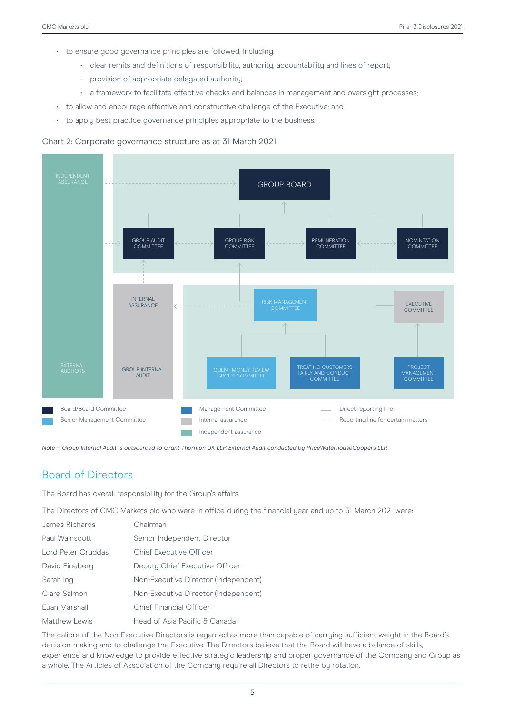- to ensure good governance principles are followed, including:
	- clear remits and definitions of responsibility, authority, accountability and lines of report;
	- provision of appropriate delegated authority;
	- a framework to facilitate effective checks and balances in management and oversight processes;
- to allow and encourage effective and constructive challenge of the Executive; and
- to apply best practice governance principles appropriate to the business.

#### Chart 2: Corporate governance structure as at 31 March 2021



*Note – Group Internal Audit is outsourced to Grant Thornton UK LLP. External Audit conducted by PriceWaterhouseCoopers LLP.*

### Board of Directors

The Board has overall responsibility for the Group's affairs.

The Directors of CMC Markets plc who were in office during the financial year and up to 31 March 2021 were:

| James Richards     | Chairman                             |
|--------------------|--------------------------------------|
| Paul Wainscott     | Senior Independent Director          |
| Lord Peter Cruddas | Chief Executive Officer              |
| David Fineberg     | Deputy Chief Executive Officer       |
| Sarah Ing          | Non-Executive Director (Independent) |
| Clare Salmon       | Non-Executive Director (Independent) |
| Euan Marshall      | <b>Chief Financial Officer</b>       |
| Matthew Lewis      | Head of Asia Pacific & Canada        |

The calibre of the Non-Executive Directors is regarded as more than capable of carrying sufficient weight in the Board's decision-making and to challenge the Executive. The Directors believe that the Board will have a balance of skills, experience and knowledge to provide effective strategic leadership and proper governance of the Company and Group as a whole. The Articles of Association of the Company require all Directors to retire by rotation.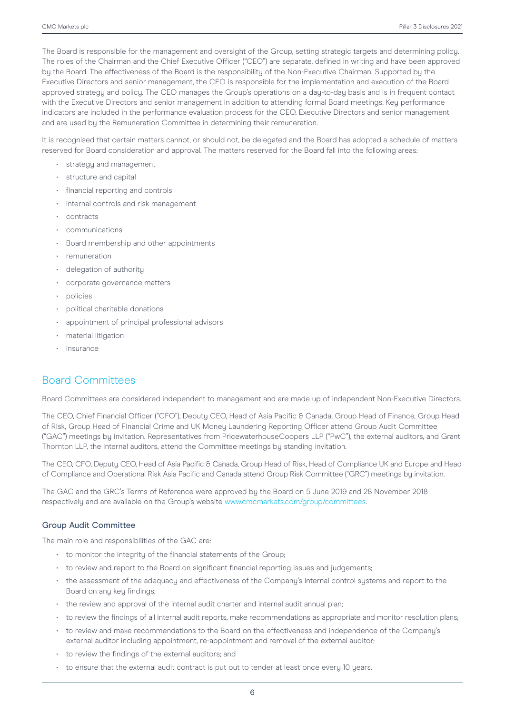The Board is responsible for the management and oversight of the Group, setting strategic targets and determining policy. The roles of the Chairman and the Chief Executive Officer ("CEO") are separate, defined in writing and have been approved by the Board. The effectiveness of the Board is the responsibility of the Non-Executive Chairman. Supported by the Executive Directors and senior management, the CEO is responsible for the implementation and execution of the Board approved strategy and policy. The CEO manages the Group's operations on a day-to-day basis and is in frequent contact with the Executive Directors and senior management in addition to attending formal Board meetings. Key performance indicators are included in the performance evaluation process for the CEO, Executive Directors and senior management and are used by the Remuneration Committee in determining their remuneration.

It is recognised that certain matters cannot, or should not, be delegated and the Board has adopted a schedule of matters reserved for Board consideration and approval. The matters reserved for the Board fall into the following areas:

- strategy and management
- structure and capital
- financial reporting and controls
- internal controls and risk management
- contracts
- communications
- Board membership and other appointments
- remuneration
- delegation of authority
- corporate governance matters
- policies
- political charitable donations
- appointment of principal professional advisors
- material litigation
- insurance

### Board Committees

Board Committees are considered independent to management and are made up of independent Non-Executive Directors.

The CEO, Chief Financial Officer ("CFO"), Deputy CEO, Head of Asia Pacific & Canada, Group Head of Finance, Group Head of Risk, Group Head of Financial Crime and UK Money Laundering Reporting Officer attend Group Audit Committee ("GAC") meetings by invitation. Representatives from PricewaterhouseCoopers LLP ("PwC"), the external auditors, and Grant Thornton LLP, the internal auditors, attend the Committee meetings by standing invitation.

The CEO, CFO, Deputy CEO, Head of Asia Pacific & Canada, Group Head of Risk, Head of Compliance UK and Europe and Head of Compliance and Operational Risk Asia Pacific and Canada attend Group Risk Committee ("GRC") meetings by invitation.

The GAC and the GRC's Terms of Reference were approved by the Board on 5 June 2019 and 28 November 2018 respectively and are available on the Group's website www.cmcmarkets.com/group/committees.

#### Group Audit Committee

The main role and responsibilities of the GAC are:

- to monitor the integrity of the financial statements of the Group;
- to review and report to the Board on significant financial reporting issues and judgements;
- the assessment of the adequacy and effectiveness of the Company's internal control systems and report to the Board on any key findings;
- the review and approval of the internal audit charter and internal audit annual plan;
- to review the findings of all internal audit reports, make recommendations as appropriate and monitor resolution plans;
- to review and make recommendations to the Board on the effectiveness and independence of the Company's external auditor including appointment, re-appointment and removal of the external auditor;
- to review the findings of the external auditors; and
- to ensure that the external audit contract is put out to tender at least once every 10 years.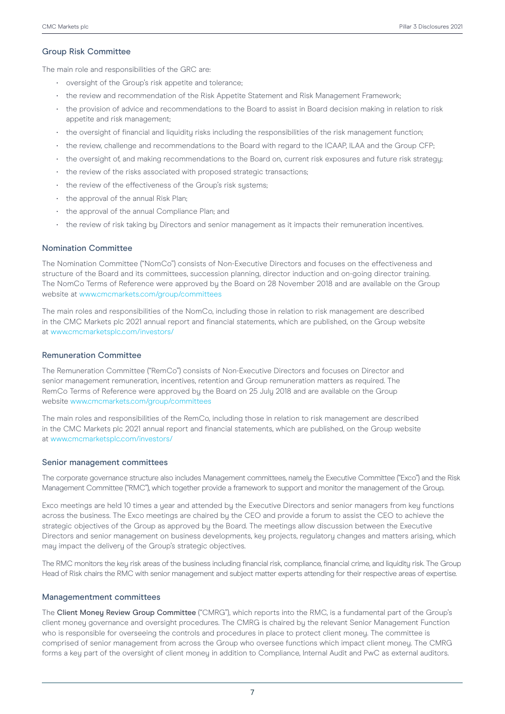#### Group Risk Committee

The main role and responsibilities of the GRC are:

- oversight of the Group's risk appetite and tolerance;
- the review and recommendation of the Risk Appetite Statement and Risk Management Framework;
- the provision of advice and recommendations to the Board to assist in Board decision making in relation to risk appetite and risk management;
- the oversight of financial and liquidity risks including the responsibilities of the risk management function;
- the review, challenge and recommendations to the Board with regard to the ICAAP, ILAA and the Group CFP;
- the oversight of, and making recommendations to the Board on, current risk exposures and future risk strategy;
- the review of the risks associated with proposed strategic transactions;
- the review of the effectiveness of the Group's risk systems;
- the approval of the annual Risk Plan;
- the approval of the annual Compliance Plan; and
- the review of risk taking by Directors and senior management as it impacts their remuneration incentives.

#### Nomination Committee

The Nomination Committee ("NomCo") consists of Non-Executive Directors and focuses on the effectiveness and structure of the Board and its committees, succession planning, director induction and on-going director training. The NomCo Terms of Reference were approved by the Board on 28 November 2018 and are available on the Group website at www.cmcmarkets.com/group/committees

The main roles and responsibilities of the NomCo, including those in relation to risk management are described in the CMC Markets plc 2021 annual report and financial statements, which are published, on the Group website at www.cmcmarketsplc.com/investors/

#### Remuneration Committee

The Remuneration Committee ("RemCo") consists of Non-Executive Directors and focuses on Director and senior management remuneration, incentives, retention and Group remuneration matters as required. The RemCo Terms of Reference were approved by the Board on 25 July 2018 and are available on the Group website www.cmcmarkets.com/group/committees

The main roles and responsibilities of the RemCo, including those in relation to risk management are described in the CMC Markets plc 2021 annual report and financial statements, which are published, on the Group website at www.cmcmarketsplc.com/investors/

#### Senior management committees

The corporate governance structure also includes Management committees, namely the Executive Committee ("Exco") and the Risk Management Committee ("RMC"), which together provide a framework to support and monitor the management of the Group.

Exco meetings are held 10 times a year and attended by the Executive Directors and senior managers from key functions across the business. The Exco meetings are chaired by the CEO and provide a forum to assist the CEO to achieve the strategic objectives of the Group as approved by the Board. The meetings allow discussion between the Executive Directors and senior management on business developments, key projects, regulatory changes and matters arising, which may impact the delivery of the Group's strategic objectives.

The RMC monitors the keu risk areas of the business including financial risk, compliance, financial crime, and liquidity risk. The Group Head of Risk chairs the RMC with senior management and subject matter experts attending for their respective areas of expertise.

#### Managementment committees

The Client Money Review Group Committee ("CMRG"), which reports into the RMC, is a fundamental part of the Group's client money governance and oversight procedures. The CMRG is chaired by the relevant Senior Management Function who is responsible for overseeing the controls and procedures in place to protect client money. The committee is comprised of senior management from across the Group who oversee functions which impact client money. The CMRG forms a key part of the oversight of client money in addition to Compliance, Internal Audit and PwC as external auditors.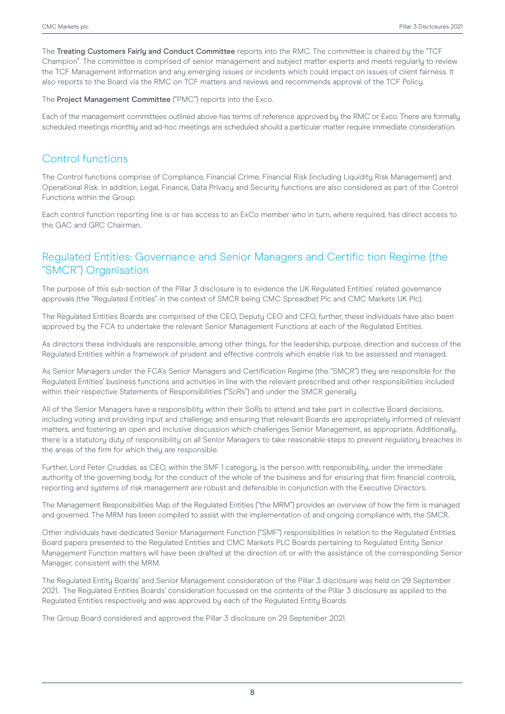The Treating Customers Fairly and Conduct Committee reports into the RMC. The committee is chaired by the "TCF Champion". The committee is comprised of senior management and subject matter experts and meets regularly to review the TCF Management Information and any emerging issues or incidents which could impact on issues of client fairness. It also reports to the Board via the RMC on TCF matters and reviews and recommends approval of the TCF Policy.

The Project Management Committee ("PMC") reports into the Exco.

Each of the management committees outlined above has terms of reference approved by the RMC or Exco. There are formally scheduled meetings monthly and ad-hoc meetings are scheduled should a particular matter require immediate consideration.

## Control functions

The Control functions comprise of Compliance, Financial Crime, Financial Risk (including Liquidity Risk Management) and Operational Risk. In addition, Legal, Finance, Data Privacy and Security functions are also considered as part of the Control Functions within the Group.

Each control function reporting line is or has access to an ExCo member who in turn, where required, has direct access to the GAC and GRC Chairman.

## Regulated Entities: Governance and Senior Managers and Certific tion Regime (the "SMCR") Organisation

The purpose of this sub-section of the Pillar 3 disclosure is to evidence the UK Regulated Entities' related governance approvals (the "Regulated Entities" in the context of SMCR being CMC Spreadbet Plc and CMC Markets UK Plc).

The Regulated Entities Boards are comprised of the CEO, Deputy CEO and CFO, further, these individuals have also been approved by the FCA to undertake the relevant Senior Management Functions at each of the Regulated Entities.

As directors these individuals are responsible, among other things, for the leadership, purpose, direction and success of the Regulated Entities within a framework of prudent and effective controls which enable risk to be assessed and managed.

As Senior Managers under the FCA's Senior Managers and Certification Regime (the "SMCR") theu are responsible for the Regulated Entities' business functions and activities in line with the relevant prescribed and other responsibilities included within their respective Statements of Responsibilities ("SoRs") and under the SMCR generally.

All of the Senior Managers have a responsibility within their SoRs to attend and take part in collective Board decisions, including voting and providing input and challenge, and ensuring that relevant Boards are appropriately informed of relevant matters, and fostering an open and inclusive discussion which challenges Senior Management, as appropriate. Additionally, there is a statutory duty of responsibility on all Senior Managers to take reasonable steps to prevent regulatory breaches in the areas of the firm for which they are responsible.

Further, Lord Peter Cruddas, as CEO, within the SMF 1 category, is the person with responsibility, under the immediate authority of the governing body, for the conduct of the whole of the business and for ensuring that firm financial controls, reporting and systems of risk management are robust and defensible in conjunction with the Executive Directors.

The Management Responsibilities Map of the Regulated Entities ("the MRM") provides an overview of how the firm is managed and governed. The MRM has been compiled to assist with the implementation of, and ongoing compliance with, the SMCR.

Other individuals have dedicated Senior Management Function ("SMF") responsibilities in relation to the Regulated Entities. Board papers presented to the Regulated Entities and CMC Markets PLC Boards pertaining to Regulated Entity Senior Management Function matters will have been drafted at the direction of, or with the assistance of, the corresponding Senior Manager, consistent with the MRM.

The Regulated Entity Boards' and Senior Management consideration of the Pillar 3 disclosure was held on 29 September 2021. The Regulated Entities Boards' consideration focussed on the contents of the Pillar 3 disclosure as applied to the Regulated Entities respectively and was approved by each of the Regulated Entity Boards.

The Group Board considered and approved the Pillar 3 disclosure on 29 September 2021.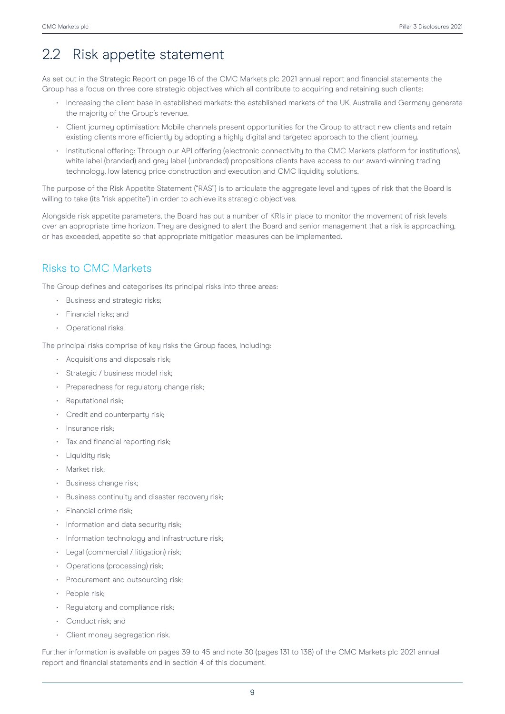## 2.2 Risk appetite statement

As set out in the Strategic Report on page 16 of the CMC Markets plc 2021 annual report and financial statements the Group has a focus on three core strategic objectives which all contribute to acquiring and retaining such clients:

- Increasing the client base in established markets: the established markets of the UK, Australia and Germany generate the majority of the Group's revenue.
- Client journey optimisation: Mobile channels present opportunities for the Group to attract new clients and retain existing clients more efficiently by adopting a highly digital and targeted approach to the client journey.
- Institutional offering: Through our API offering (electronic connectivity to the CMC Markets platform for institutions), white label (branded) and grey label (unbranded) propositions clients have access to our award-winning trading technology, low latency price construction and execution and CMC liquidity solutions.

The purpose of the Risk Appetite Statement ("RAS") is to articulate the aggregate level and types of risk that the Board is willing to take (its "risk appetite") in order to achieve its strategic objectives.

Alongside risk appetite parameters, the Board has put a number of KRIs in place to monitor the movement of risk levels over an appropriate time horizon. They are designed to alert the Board and senior management that a risk is approaching, or has exceeded, appetite so that appropriate mitigation measures can be implemented.

## Risks to CMC Markets

The Group defines and categorises its principal risks into three areas:

- Business and strategic risks;
- Financial risks; and
- Operational risks.

The principal risks comprise of key risks the Group faces, including:

- Acquisitions and disposals risk;
- Strategic / business model risk;
- Preparedness for regulatory change risk;
- Reputational risk;
- Credit and counterparty risk;
- Insurance risk;
- Tax and financial reporting risk;
- Liquidity risk;
- Market risk;
- Business change risk:
- Business continuity and disaster recovery risk;
- Financial crime risk;
- Information and data security risk;
- Information technology and infrastructure risk;
- Legal (commercial / litigation) risk;
- Operations (processing) risk;
- Procurement and outsourcing risk;
- People risk;
- Regulatory and compliance risk;
- Conduct risk; and
- Client money segregation risk.

Further information is available on pages 39 to 45 and note 30 (pages 131 to 138) of the CMC Markets plc 2021 annual report and financial statements and in section 4 of this document.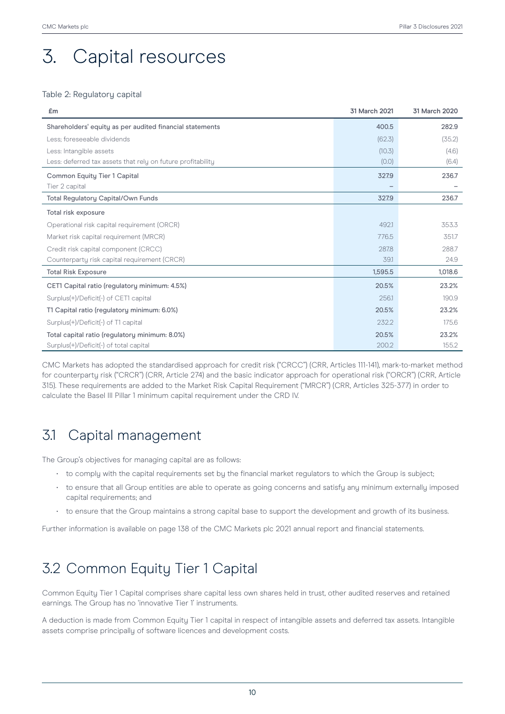# 3. Capital resources

### Table 2: Regulatory capital

| £m                                                          | 31 March 2021 | 31 March 2020 |
|-------------------------------------------------------------|---------------|---------------|
| Shareholders' equity as per audited financial statements    | 400.5         | 282.9         |
| Less: foreseeable dividends                                 | (62.3)        | (35.2)        |
| Less: Intangible assets                                     | (10.3)        | (4.6)         |
| Less: deferred tax assets that rely on future profitability | (0.0)         | (6.4)         |
| <b>Common Equity Tier 1 Capital</b>                         | 327.9         | 236.7         |
| Tier 2 capital                                              |               |               |
| Total Regulatory Capital/Own Funds                          | 327.9         | 236.7         |
| Total risk exposure                                         |               |               |
| Operational risk capital requirement (ORCR)                 | 492.1         | 353.3         |
| Market risk capital requirement (MRCR)                      | 776.5         | 351.7         |
| Credit risk capital component (CRCC)                        | 287.8         | 288.7         |
| Counterparty risk capital requirement (CRCR)                | 39.1          | 24.9          |
| <b>Total Risk Exposure</b>                                  | 1,595.5       | 1,018.6       |
| CET1 Capital ratio (regulatory minimum: 4.5%)               | 20.5%         | 23.2%         |
| Surplus(+)/Deficit(-) of CET1 capital                       | 256.1         | 190.9         |
| T1 Capital ratio (regulatory minimum: 6.0%)                 | 20.5%         | 23.2%         |
| Surplus(+)/Deficit(-) of T1 capital                         | 232.2         | 175.6         |
| Total capital ratio (regulatory minimum: 8.0%)              | 20.5%         | 23.2%         |
| Surplus(+)/Deficit(-) of total capital                      | 200.2         | 155.2         |

CMC Markets has adopted the standardised approach for credit risk ("CRCC") (CRR, Articles 111-141), mark-to-market method for counterparty risk ("CRCR") (CRR, Article 274) and the basic indicator approach for operational risk ("ORCR") (CRR, Article 315). These requirements are added to the Market Risk Capital Requirement ("MRCR") (CRR, Articles 325-377) in order to calculate the Basel III Pillar 1 minimum capital requirement under the CRD IV.

## 3.1 Capital management

The Group's objectives for managing capital are as follows:

- to comply with the capital requirements set by the financial market regulators to which the Group is subject;
- to ensure that all Group entities are able to operate as going concerns and satisfy any minimum externally imposed capital requirements; and
- to ensure that the Group maintains a strong capital base to support the development and growth of its business.

Further information is available on page 138 of the CMC Markets plc 2021 annual report and financial statements.

## 3.2 Common Equity Tier 1 Capital

Common Equity Tier 1 Capital comprises share capital less own shares held in trust, other audited reserves and retained earnings. The Group has no 'innovative Tier 1' instruments.

A deduction is made from Common Equity Tier 1 capital in respect of intangible assets and deferred tax assets. Intangible assets comprise principally of software licences and development costs.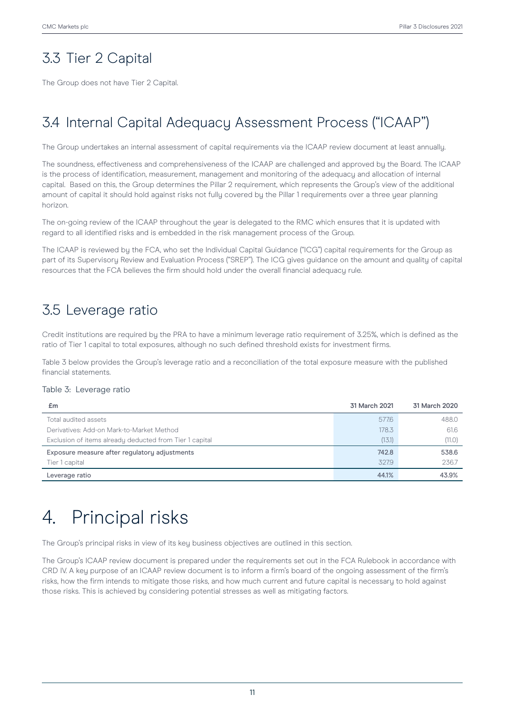## 3.3 Tier 2 Capital

The Group does not have Tier 2 Capital.

## 3.4 Internal Capital Adequacy Assessment Process ("ICAAP")

The Group undertakes an internal assessment of capital requirements via the ICAAP review document at least annually.

The soundness, effectiveness and comprehensiveness of the ICAAP are challenged and approved by the Board. The ICAAP is the process of identification, measurement, management and monitoring of the adequacy and allocation of internal capital. Based on this, the Group determines the Pillar 2 requirement, which represents the Group's view of the additional amount of capital it should hold against risks not fully covered by the Pillar 1 requirements over a three year planning horizon.

The on-going review of the ICAAP throughout the year is delegated to the RMC which ensures that it is updated with regard to all identified risks and is embedded in the risk management process of the Group.

The ICAAP is reviewed by the FCA, who set the Individual Capital Guidance ("ICG") capital requirements for the Group as part of its Supervisory Review and Evaluation Process ("SREP"). The ICG gives guidance on the amount and quality of capital resources that the FCA believes the firm should hold under the overall financial adequacy rule.

## 3.5 Leverage ratio

Credit institutions are required by the PRA to have a minimum leverage ratio requirement of 3.25%, which is defined as the ratio of Tier 1 capital to total exposures, although no such defined threshold exists for investment firms.

Table 3 below provides the Group's leverage ratio and a reconciliation of the total exposure measure with the published financial statements.

#### Table 3: Leverage ratio

| £m                                                      | 31 March 2021 | 31 March 2020 |
|---------------------------------------------------------|---------------|---------------|
| Total audited assets                                    | 577.6         | 488.0         |
| Derivatives: Add-on Mark-to-Market Method               | 178.3         | 61.6          |
| Exclusion of items already deducted from Tier 1 capital | (13.1)        | (11.0)        |
| Exposure measure after regulatory adjustments           | 742.8         | 538.6         |
| Tier 1 capital                                          | 327.9         | 236.7         |
| Leverage ratio                                          | 44.1%         | 43.9%         |

# 4. Principal risks

The Group's principal risks in view of its key business objectives are outlined in this section.

The Group's ICAAP review document is prepared under the requirements set out in the FCA Rulebook in accordance with CRD IV. A key purpose of an ICAAP review document is to inform a firm's board of the ongoing assessment of the firm's risks, how the firm intends to mitigate those risks, and how much current and future capital is necessary to hold against those risks. This is achieved by considering potential stresses as well as mitigating factors.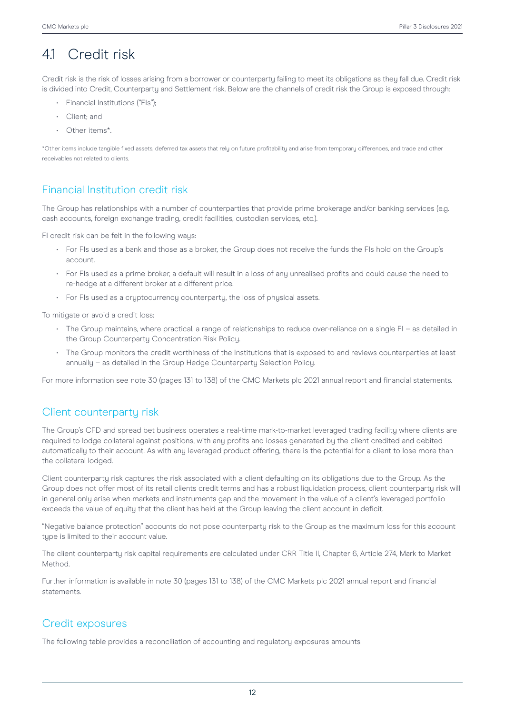## 4.1 Credit risk

Credit risk is the risk of losses arising from a borrower or counterparty failing to meet its obligations as they fall due. Credit risk is divided into Credit, Counterparty and Settlement risk. Below are the channels of credit risk the Group is exposed through:

- Financial Institutions ("FIs");
- Client; and
- Other items\*.

\*Other items include tangible fixed assets, deferred tax assets that rely on future profitability and arise from temporary differences, and trade and other receivables not related to clients.

## Financial Institution credit risk

The Group has relationships with a number of counterparties that provide prime brokerage and/or banking services (e.g. cash accounts, foreign exchange trading, credit facilities, custodian services, etc.).

FI credit risk can be felt in the following ways:

- For FIs used as a bank and those as a broker, the Group does not receive the funds the FIs hold on the Group's account.
- For FIs used as a prime broker, a default will result in a loss of any unrealised profits and could cause the need to re-hedge at a different broker at a different price.
- For FIs used as a cryptocurrency counterparty, the loss of physical assets.

To mitigate or avoid a credit loss:

- The Group maintains, where practical, a range of relationships to reduce over-reliance on a single FI as detailed in the Group Counterparty Concentration Risk Policy.
- The Group monitors the credit worthiness of the Institutions that is exposed to and reviews counterparties at least annually – as detailed in the Group Hedge Counterparty Selection Policy.

For more information see note 30 (pages 131 to 138) of the CMC Markets plc 2021 annual report and financial statements.

### Client counterparty risk

The Group's CFD and spread bet business operates a real-time mark-to-market leveraged trading facility where clients are required to lodge collateral against positions, with any profits and losses generated by the client credited and debited automatically to their account. As with any leveraged product offering, there is the potential for a client to lose more than the collateral lodged.

Client counterparty risk captures the risk associated with a client defaulting on its obligations due to the Group. As the Group does not offer most of its retail clients credit terms and has a robust liquidation process, client counterparty risk will in general only arise when markets and instruments gap and the movement in the value of a client's leveraged portfolio exceeds the value of equity that the client has held at the Group leaving the client account in deficit.

"Negative balance protection" accounts do not pose counterparty risk to the Group as the maximum loss for this account type is limited to their account value.

The client counterparty risk capital requirements are calculated under CRR Title II, Chapter 6, Article 274, Mark to Market Method.

Further information is available in note 30 (pages 131 to 138) of the CMC Markets plc 2021 annual report and financial statements.

### Credit exposures

The following table provides a reconciliation of accounting and regulatory exposures amounts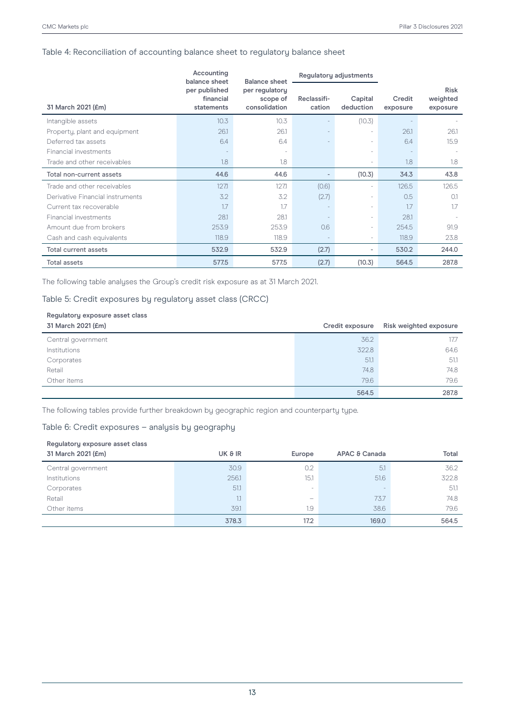### Table 4: Reconciliation of accounting balance sheet to regulatory balance sheet

|                                  | Accounting<br>balance sheet                                                             | <b>Balance sheet</b>     | Regulatory adjustments |                          |                    |                                     |
|----------------------------------|-----------------------------------------------------------------------------------------|--------------------------|------------------------|--------------------------|--------------------|-------------------------------------|
| 31 March 2021 (£m)               | per published<br>per regulatory<br>financial<br>scope of<br>consolidation<br>statements |                          | Reclassifi-<br>cation  | Capital<br>deduction     | Credit<br>exposure | <b>Risk</b><br>weighted<br>exposure |
| Intangible assets                | 10.3                                                                                    | 10.3                     |                        | (10.3)                   |                    |                                     |
| Property, plant and equipment    | 26.1                                                                                    | 26.1                     |                        | ٠                        | 26.1               | 26.1                                |
| Deferred tax assets              | 6.4                                                                                     | 6.4                      |                        | ٠                        | 6.4                | 15.9                                |
| Financial investments            |                                                                                         | $\overline{\phantom{a}}$ |                        | ٠                        |                    |                                     |
| Trade and other receivables      | 1.8                                                                                     | 1.8                      |                        | $\overline{\phantom{a}}$ | 1.8                | 1.8                                 |
| Total non-current assets         | 44.6                                                                                    | 44.6                     |                        | (10.3)                   | 34.3               | 43.8                                |
| Trade and other receivables      | 1271                                                                                    | 1271                     | (0.6)                  | $\overline{\phantom{a}}$ | 126.5              | 126.5                               |
| Derivative Financial instruments | 3.2                                                                                     | 3.2                      | (2.7)                  | ٠                        | 0.5                | O.1                                 |
| Current tax recoverable          | 1.7                                                                                     | 1.7                      |                        | ٠                        | 1.7                | 1.7                                 |
| Financial investments            | 28.1                                                                                    | 28.1                     |                        | $\overline{\phantom{a}}$ | 28.1               |                                     |
| Amount due from brokers          | 253.9                                                                                   | 253.9                    | 0.6                    | ٠                        | 254.5              | 91.9                                |
| Cash and cash equivalents        | 118.9                                                                                   | 118.9                    |                        | $\overline{\phantom{a}}$ | 118.9              | 23.8                                |
| Total current assets             | 532.9                                                                                   | 532.9                    | (2.7)                  | ٠                        | 530.2              | 244.0                               |
| <b>Total assets</b>              | 577.5                                                                                   | 577.5                    | (2.7)                  | (10.3)                   | 564.5              | 287.8                               |

The following table analyses the Group's credit risk exposure as at 31 March 2021.

### Table 5: Credit exposures by regulatory asset class (CRCC)

## **Regulatory exposure asset class**

| 31 March 2021 (£m) | Credit exposure | Risk weighted exposure |
|--------------------|-----------------|------------------------|
| Central government | 36.2            | 17.7                   |
| Institutions       | 322.8           | 64.6                   |
| Corporates         | 51.1            | 51.1                   |
| Retail             | 74.8            | 74.8                   |
| Other items        | 79.6            | 79.6                   |
|                    | 564.5           | 287.8                  |

The following tables provide further breakdown by geographic region and counterparty type.

### Table 6: Credit exposures – analysis by geography

| Regulatory exposure asset class |         |                          |               |       |  |
|---------------------------------|---------|--------------------------|---------------|-------|--|
| 31 March 2021 (£m)              | UK & IR | Europe                   | APAC & Canada | Total |  |
| Central government              | 30.9    | 0.2                      | 5.1           | 36.2  |  |
| Institutions                    | 256.1   | 15.1                     | 51.6          | 322.8 |  |
| Corporates                      | 51.1    | $\overline{\phantom{a}}$ | -             | 51.1  |  |
| Retail                          | 1.1     | $\overline{\phantom{0}}$ | 73.7          | 74.8  |  |
| Other items                     | 391     | 1.9                      | 38.6          | 79.6  |  |
|                                 | 378.3   | 17.2                     | 169.0         | 564.5 |  |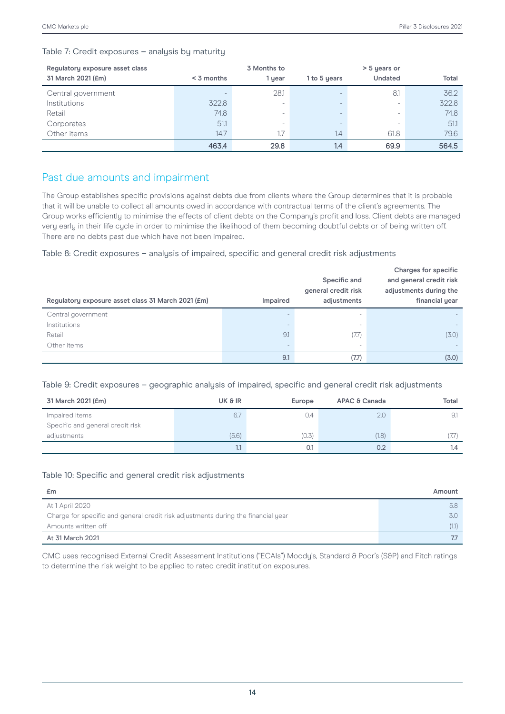### Table 7: Credit exposures – analysis by maturity

| Regulatory exposure asset class | 3 Months to              |        |                          | > 5 years or   |       |  |
|---------------------------------|--------------------------|--------|--------------------------|----------------|-------|--|
| 31 March 2021 (£m)              | $<$ 3 months             | 1 year | 1 to 5 years             | <b>Undated</b> | Total |  |
| Central government              | $\overline{\phantom{a}}$ | 28.1   |                          | 8.1            | 36.2  |  |
| Institutions                    | 322.8                    | -      |                          | -              | 322.8 |  |
| Retail                          | 74.8                     | -      | $\overline{\phantom{a}}$ | -              | 74.8  |  |
| Corporates                      | 51.1                     | -      |                          | -              | 51.1  |  |
| Other items                     | 14.7                     | 1.7    | 1.4                      | 61.8           | 79.6  |  |
|                                 | 463.4                    | 29.8   | 1.4                      | 69.9           | 564.5 |  |

### Past due amounts and impairment

The Group establishes specific provisions against debts due from clients where the Group determines that it is probable that it will be unable to collect all amounts owed in accordance with contractual terms of the client's agreements. The Group works efficiently to minimise the effects of client debts on the Company's profit and loss. Client debts are managed very early in their life cycle in order to minimise the likelihood of them becoming doubtful debts or of being written off. There are no debts past due which have not been impaired.

#### Table 8: Credit exposures – analysis of impaired, specific and general credit risk adjustments

| Regulatory exposure asset class 31 March 2021 (£m) | Impaired | Specific and<br>general credit risk<br>adjustments | <b>Charges for specific</b><br>and general credit risk<br>adjustments during the<br>financial year |
|----------------------------------------------------|----------|----------------------------------------------------|----------------------------------------------------------------------------------------------------|
| Central government                                 |          |                                                    |                                                                                                    |
| Institutions                                       |          | $\overline{\phantom{a}}$                           |                                                                                                    |
| Retail                                             | 9.1      | (7.7)                                              | (3.0)                                                                                              |
| Other items                                        |          | ۰                                                  |                                                                                                    |
|                                                    | 9.1      | (7.7)                                              | (3.0)                                                                                              |

#### Table 9: Credit exposures – geographic analysis of impaired, specific and general credit risk adjustments

| 31 March 2021 (£m)               | UK & IR | Europe | APAC & Canada | Total |
|----------------------------------|---------|--------|---------------|-------|
| Impaired Items                   | 6.7     | 0.4    | 2.0           | 9.1   |
| Specific and general credit risk |         |        |               |       |
| adjustments                      | (5.6)   | (0.5)  | (1.8)         | 7.7)  |
|                                  |         | 0.1    | 0.2           | 1.4   |

#### Table 10: Specific and general credit risk adjustments

| £m                                                                                | Amount |
|-----------------------------------------------------------------------------------|--------|
| At 1 April 2020                                                                   | 5.8    |
| Charge for specific and general credit risk adjustments during the financial year | 3.O    |
| Amounts written off                                                               | (1.1)  |
| At 31 March 2021                                                                  |        |

CMC uses recognised External Credit Assessment Institutions ("ECAIs") Moody's, Standard & Poor's (S&P) and Fitch ratings to determine the risk weight to be applied to rated credit institution exposures.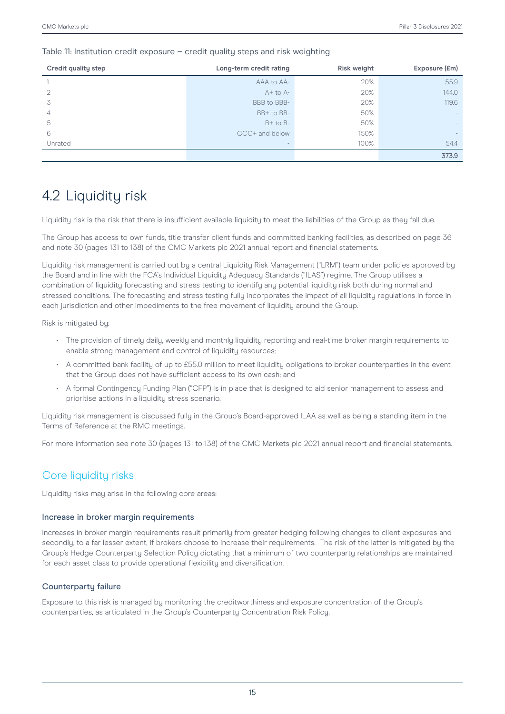#### Table 11: Institution credit exposure – credit quality steps and risk weighting

| Credit quality step | Long-term credit rating | <b>Risk weight</b> | Exposure (£m) |
|---------------------|-------------------------|--------------------|---------------|
|                     | AAA to AA-              | 20%                | 55.9          |
| 2                   | $A+$ to $A-$            | 20%                | 144.0         |
| 3                   | BBB to BBB-             | 20%                | 119.6         |
| 4                   | BB+ to BB-              | 50%                |               |
| 5                   | $B+$ to $B-$            | 50%                |               |
| 6                   | CCC+ and below          | 150%               |               |
| Unrated             |                         | 100%               | 54.4          |
|                     |                         |                    | 373.9         |

## 4.2 Liquidity risk

Liquidity risk is the risk that there is insufficient available liquidity to meet the liabilities of the Group as they fall due.

The Group has access to own funds, title transfer client funds and committed banking facilities, as described on page 36 and note 30 (pages 131 to 138) of the CMC Markets plc 2021 annual report and financial statements.

Liquidity risk management is carried out by a central Liquidity Risk Management ("LRM") team under policies approved by the Board and in line with the FCA's Individual Liquidity Adequacy Standards ("ILAS") regime. The Group utilises a combination of liquidity forecasting and stress testing to identify any potential liquidity risk both during normal and stressed conditions. The forecasting and stress testing fully incorporates the impact of all liquidity regulations in force in each jurisdiction and other impediments to the free movement of liquidity around the Group.

Risk is mitigated by:

- The provision of timely daily, weekly and monthly liquidity reporting and real-time broker margin requirements to enable strong management and control of liquidity resources;
- A committed bank facility of up to £55.0 million to meet liquidity obligations to broker counterparties in the event that the Group does not have sufficient access to its own cash; and
- A formal Contingency Funding Plan ("CFP") is in place that is designed to aid senior management to assess and prioritise actions in a liquidity stress scenario.

Liquidity risk management is discussed fully in the Group's Board-approved ILAA as well as being a standing item in the Terms of Reference at the RMC meetings.

For more information see note 30 (pages 131 to 138) of the CMC Markets plc 2021 annual report and financial statements.

## Core liquidity risks

Liquidity risks may arise in the following core areas:

#### Increase in broker margin requirements

Increases in broker margin requirements result primarily from greater hedging following changes to client exposures and secondly, to a far lesser extent, if brokers choose to increase their requirements. The risk of the latter is mitigated by the Group's Hedge Counterparty Selection Policy dictating that a minimum of two counterparty relationships are maintained for each asset class to provide operational flexibility and diversification.

### Counterparty failure

Exposure to this risk is managed by monitoring the creditworthiness and exposure concentration of the Group's counterparties, as articulated in the Group's Counterparty Concentration Risk Policy.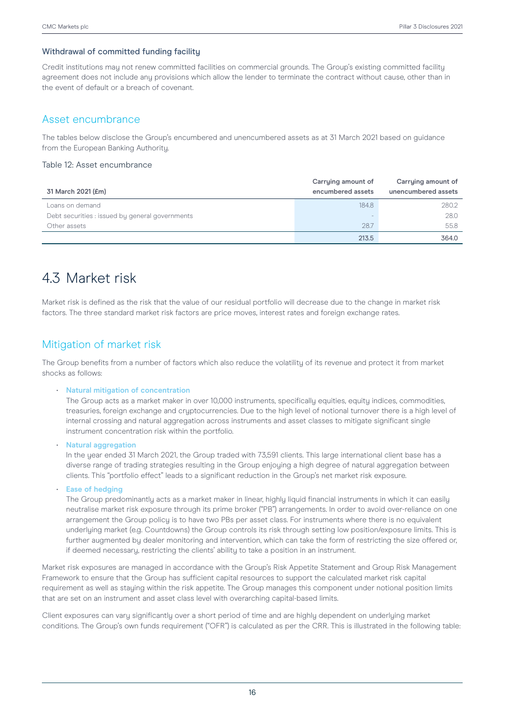#### Withdrawal of committed funding facility

Credit institutions may not renew committed facilities on commercial grounds. The Group's existing committed facility agreement does not include any provisions which allow the lender to terminate the contract without cause, other than in the event of default or a breach of covenant.

### Asset encumbrance

The tables below disclose the Group's encumbered and unencumbered assets as at 31 March 2021 based on guidance from the European Banking Authority.

#### Table 12: Asset encumbrance

| 31 March 2021 (£m)                              | Carrying amount of<br>encumbered assets | Carrying amount of<br>unencumbered assets |
|-------------------------------------------------|-----------------------------------------|-------------------------------------------|
| Loans on demand                                 | 184.8                                   | 280.2                                     |
| Debt securities : issued by general governments |                                         | 28.0                                      |
| Other assets                                    | 28.7                                    | 55.8                                      |
|                                                 | 213.5                                   | 364.0                                     |

## 4.3 Market risk

Market risk is defined as the risk that the value of our residual portfolio will decrease due to the change in market risk factors. The three standard market risk factors are price moves, interest rates and foreign exchange rates.

## Mitigation of market risk

The Group benefits from a number of factors which also reduce the volatility of its revenue and protect it from market shocks as follows:

#### • **Natural mitigation of concentration**

The Group acts as a market maker in over 10,000 instruments, specifically equities, equity indices, commodities, treasuries, foreign exchange and cryptocurrencies. Due to the high level of notional turnover there is a high level of internal crossing and natural aggregation across instruments and asset classes to mitigate significant single instrument concentration risk within the portfolio.

• **Natural aggregation**

In the year ended 31 March 2021, the Group traded with 73,591 clients. This large international client base has a diverse range of trading strategies resulting in the Group enjoying a high degree of natural aggregation between clients. This "portfolio effect" leads to a significant reduction in the Group's net market risk exposure.

• **Ease of hedging**

The Group predominantly acts as a market maker in linear, highly liquid financial instruments in which it can easily neutralise market risk exposure through its prime broker ("PB") arrangements. In order to avoid over-reliance on one arrangement the Group policy is to have two PBs per asset class. For instruments where there is no equivalent underlying market (e.g. Countdowns) the Group controls its risk through setting low position/exposure limits. This is further augmented by dealer monitoring and intervention, which can take the form of restricting the size offered or, if deemed necessary, restricting the clients' ability to take a position in an instrument.

Market risk exposures are managed in accordance with the Group's Risk Appetite Statement and Group Risk Management Framework to ensure that the Group has sufficient capital resources to support the calculated market risk capital requirement as well as staying within the risk appetite. The Group manages this component under notional position limits that are set on an instrument and asset class level with overarching capital-based limits.

Client exposures can vary significantly over a short period of time and are highly dependent on underlying market conditions. The Group's own funds requirement ("OFR") is calculated as per the CRR. This is illustrated in the following table: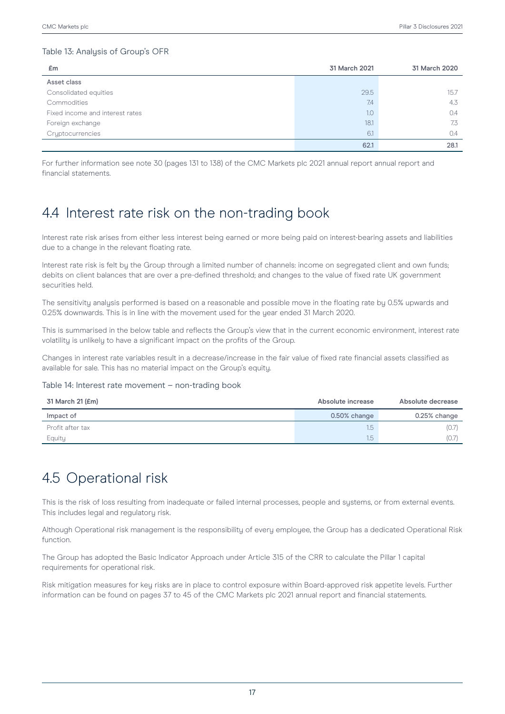### Table 13: Analysis of Group's OFR

| £m                              | 31 March 2021<br>31 March 2020 |      |  |
|---------------------------------|--------------------------------|------|--|
| Asset class                     |                                |      |  |
| Consolidated equities           | 29.5                           | 15.7 |  |
| Commodities                     | 7.4                            | 4.3  |  |
| Fixed income and interest rates | 1.0                            | 0.4  |  |
| Foreign exchange                | 18.1                           | 7.3  |  |
| Cryptocurrencies                | 6.1                            | 0.4  |  |
|                                 | 62.1                           | 28.1 |  |

For further information see note 30 (pages 131 to 138) of the CMC Markets plc 2021 annual report annual report and financial statements.

## 4.4 Interest rate risk on the non-trading book

Interest rate risk arises from either less interest being earned or more being paid on interest-bearing assets and liabilities due to a change in the relevant floating rate.

Interest rate risk is felt by the Group through a limited number of channels: income on segregated client and own funds; debits on client balances that are over a pre-defined threshold; and changes to the value of fixed rate UK government securities held.

The sensitivity analysis performed is based on a reasonable and possible move in the floating rate by 0.5% upwards and 0.25% downwards. This is in line with the movement used for the year ended 31 March 2020.

This is summarised in the below table and reflects the Group's view that in the current economic environment, interest rate volatility is unlikely to have a significant impact on the profits of the Group.

Changes in interest rate variables result in a decrease/increase in the fair value of fixed rate financial assets classified as available for sale. This has no material impact on the Group's equity.

#### Table 14: Interest rate movement – non-trading book

| 31 March 21 (£m) | Absolute increase | Absolute decrease |  |
|------------------|-------------------|-------------------|--|
| Impact of        | 0.50% change      | 0.25% change      |  |
| Profit after tax | 1.5               | (0.7)             |  |
| Equity           | 1.5               |                   |  |

## 4.5 Operational risk

This is the risk of loss resulting from inadequate or failed internal processes, people and systems, or from external events. This includes legal and regulatory risk.

Although Operational risk management is the responsibility of every employee, the Group has a dedicated Operational Risk function.

The Group has adopted the Basic Indicator Approach under Article 315 of the CRR to calculate the Pillar 1 capital requirements for operational risk.

Risk mitigation measures for key risks are in place to control exposure within Board-approved risk appetite levels. Further information can be found on pages 37 to 45 of the CMC Markets plc 2021 annual report and financial statements.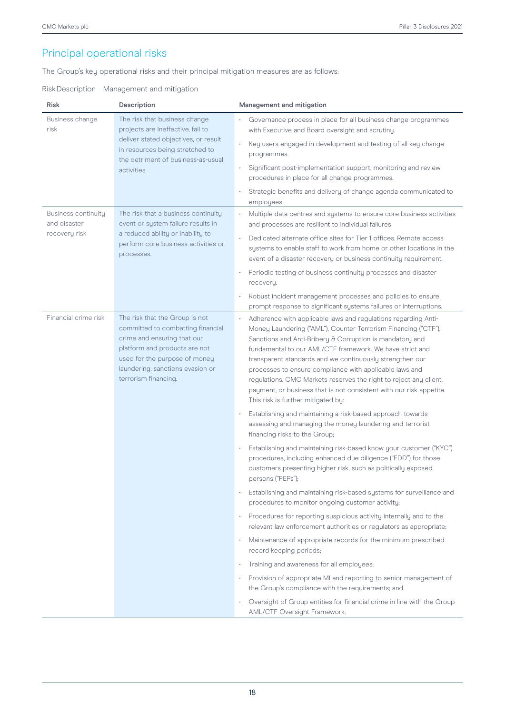## Principal operational risks

The Group's key operational risks and their principal mitigation measures are as follows:

### RiskDescription Management and mitigation

| <b>Risk</b>                                                 | Description                                                                                                                                                                                                                      | Management and mitigation                                                                                                                                                                                                                                                                                                                                                                                                                                                                                                                                                                                                                                                                                                                                                                                                                                                                                                       |  |  |
|-------------------------------------------------------------|----------------------------------------------------------------------------------------------------------------------------------------------------------------------------------------------------------------------------------|---------------------------------------------------------------------------------------------------------------------------------------------------------------------------------------------------------------------------------------------------------------------------------------------------------------------------------------------------------------------------------------------------------------------------------------------------------------------------------------------------------------------------------------------------------------------------------------------------------------------------------------------------------------------------------------------------------------------------------------------------------------------------------------------------------------------------------------------------------------------------------------------------------------------------------|--|--|
| Business change<br>risk                                     | The risk that business change<br>projects are ineffective, fail to<br>deliver stated objectives, or result<br>in resources being stretched to<br>the detriment of business-as-usual<br>activities.                               | Governance process in place for all business change programmes<br>with Executive and Board oversight and scrutiny.<br>Key users engaged in development and testing of all key change<br>programmes.<br>Significant post-implementation support, monitoring and review<br>$\bullet$<br>procedures in place for all change programmes.<br>Strategic benefits and delivery of change agenda communicated to                                                                                                                                                                                                                                                                                                                                                                                                                                                                                                                        |  |  |
| <b>Business continuity</b><br>and disaster<br>recovery risk | The risk that a business continuity<br>event or system failure results in<br>a reduced ability or inability to<br>perform core business activities or<br>processes.                                                              | employees.<br>Multiple data centres and systems to ensure core business activities<br>and processes are resilient to individual failures<br>Dedicated alternate office sites for Tier 1 offices. Remote access<br>systems to enable staff to work from home or other locations in the<br>event of a disaster recovery or business continuity requirement.<br>Periodic testing of business continuity processes and disaster<br>recovery.<br>Robust incident management processes and policies to ensure<br>prompt response to significant systems failures or interruptions.                                                                                                                                                                                                                                                                                                                                                    |  |  |
| Financial crime risk                                        | The risk that the Group is not<br>committed to combatting financial<br>crime and ensuring that our<br>platform and products are not<br>used for the purpose of money<br>laundering, sanctions evasion or<br>terrorism financing. | Adherence with applicable laws and regulations regarding Anti-<br>Money Laundering ("AML"), Counter Terrorism Financing ("CTF"),<br>Sanctions and Anti-Bribery & Corruption is mandatory and<br>fundamental to our AML/CTF framework. We have strict and<br>transparent standards and we continuously strengthen our<br>processes to ensure compliance with applicable laws and<br>regulations. CMC Markets reserves the right to reject any client,<br>payment, or business that is not consistent with our risk appetite.<br>This risk is further mitigated by:<br>Establishing and maintaining a risk-based approach towards<br>assessing and managing the money laundering and terrorist                                                                                                                                                                                                                                    |  |  |
|                                                             |                                                                                                                                                                                                                                  | financing risks to the Group;<br>Establishing and maintaining risk-based know your customer ("KYC")<br>procedures, including enhanced due diligence ("EDD") for those<br>customers presenting higher risk, such as politically exposed<br>persons ("PEPs");<br>Establishing and maintaining risk-based systems for surveillance and<br>٠<br>procedures to monitor ongoing customer activity;<br>Procedures for reporting suspicious activity internally and to the<br>relevant law enforcement authorities or regulators as appropriate;<br>Maintenance of appropriate records for the minimum prescribed<br>record keeping periods;<br>Training and awareness for all employees;<br>٠<br>Provision of appropriate MI and reporting to senior management of<br>۰<br>the Group's compliance with the requirements; and<br>Oversight of Group entities for financial crime in line with the Group<br>AML/CTF Oversight Framework. |  |  |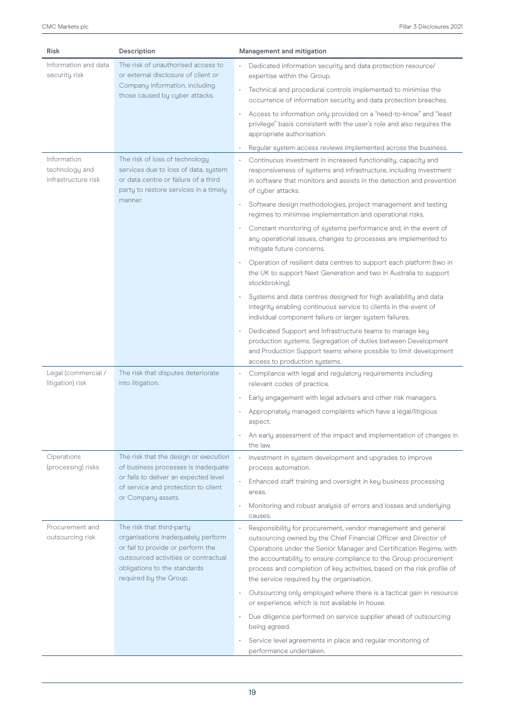| <b>Risk</b>                                          | Description                                                                                                                                                                                            | Management and mitigation                                                                                                                                                                                                                                                                                                                                                                          |  |  |  |
|------------------------------------------------------|--------------------------------------------------------------------------------------------------------------------------------------------------------------------------------------------------------|----------------------------------------------------------------------------------------------------------------------------------------------------------------------------------------------------------------------------------------------------------------------------------------------------------------------------------------------------------------------------------------------------|--|--|--|
| Information and data<br>security risk                | The risk of unauthorised access to<br>or external disclosure of client or                                                                                                                              | Dedicated information security and data protection resource/<br>expertise within the Group.                                                                                                                                                                                                                                                                                                        |  |  |  |
|                                                      | Company information, including<br>those caused by cyber attacks.                                                                                                                                       | Technical and procedural controls implemented to minimise the<br>$\bullet$<br>occurrence of information security and data protection breaches.                                                                                                                                                                                                                                                     |  |  |  |
|                                                      |                                                                                                                                                                                                        | Access to information only provided on a "need-to-know" and "least<br>$\bullet$<br>privilege" basis consistent with the user's role and also requires the<br>appropriate authorisation.                                                                                                                                                                                                            |  |  |  |
|                                                      |                                                                                                                                                                                                        | Regular system access reviews implemented across the business.                                                                                                                                                                                                                                                                                                                                     |  |  |  |
| Information<br>technology and<br>infrastructure risk | The risk of loss of technology<br>services due to loss of data, system<br>or data centre or failure of a third<br>party to restore services in a timely                                                | Continuous investment in increased functionality, capacity and<br>responsiveness of systems and infrastructure, including investment<br>in software that monitors and assists in the detection and prevention<br>of cyber attacks.                                                                                                                                                                 |  |  |  |
|                                                      | manner.                                                                                                                                                                                                | Software design methodologies, project management and testing<br>$\bullet$<br>regimes to minimise implementation and operational risks.                                                                                                                                                                                                                                                            |  |  |  |
|                                                      |                                                                                                                                                                                                        | Constant monitoring of systems performance and, in the event of<br>any operational issues, changes to processes are implemented to<br>mitigate future concerns.                                                                                                                                                                                                                                    |  |  |  |
|                                                      |                                                                                                                                                                                                        | Operation of resilient data centres to support each platform (two in<br>the UK to support Next Generation and two in Australia to support<br>stockbroking).                                                                                                                                                                                                                                        |  |  |  |
|                                                      |                                                                                                                                                                                                        | Systems and data centres designed for high availability and data<br>integrity enabling continuous service to clients in the event of<br>individual component failure or larger system failures.                                                                                                                                                                                                    |  |  |  |
|                                                      |                                                                                                                                                                                                        | Dedicated Support and Infrastructure teams to manage key<br>production systems. Segregation of duties between Development<br>and Production Support teams where possible to limit development<br>access to production systems.                                                                                                                                                                     |  |  |  |
| Legal (commercial /<br>litigation) risk              | The risk that disputes deteriorate<br>into litigation.                                                                                                                                                 | Compliance with legal and regulatory requirements including<br>relevant codes of practice.                                                                                                                                                                                                                                                                                                         |  |  |  |
|                                                      |                                                                                                                                                                                                        | Early engagement with legal advisers and other risk managers.                                                                                                                                                                                                                                                                                                                                      |  |  |  |
|                                                      |                                                                                                                                                                                                        | Appropriately managed complaints which have a legal/litigious<br>aspect.                                                                                                                                                                                                                                                                                                                           |  |  |  |
|                                                      |                                                                                                                                                                                                        | An early assessment of the impact and implementation of changes in<br>the law.                                                                                                                                                                                                                                                                                                                     |  |  |  |
| Operations<br>(processing) risks                     | The risk that the design or execution<br>of business processes is inadequate                                                                                                                           | Investment in system development and upgrades to improve<br>process automation.                                                                                                                                                                                                                                                                                                                    |  |  |  |
|                                                      | or fails to deliver an expected level<br>of service and protection to client                                                                                                                           | Enhanced staff training and oversight in key business processing<br>٠<br>areas.                                                                                                                                                                                                                                                                                                                    |  |  |  |
|                                                      | or Company assets.                                                                                                                                                                                     | Monitoring and robust analysis of errors and losses and underlying<br>causes.                                                                                                                                                                                                                                                                                                                      |  |  |  |
| Procurement and<br>outsourcing risk                  | The risk that third-party<br>organisations inadequately perform<br>or fail to provide or perform the<br>outsourced activities or contractual<br>obligations to the standards<br>required by the Group. | Responsibility for procurement, vendor management and general<br>outsourcing owned by the Chief Financial Officer and Director of<br>Operations under the Senior Manager and Certification Regime, with<br>the accountability to ensure compliance to the Group procurement<br>process and completion of key activities, based on the risk profile of<br>the service required by the organisation. |  |  |  |
|                                                      |                                                                                                                                                                                                        | Outsourcing only employed where there is a tactical gain in resource<br>۰<br>or experience, which is not available in house.                                                                                                                                                                                                                                                                       |  |  |  |
|                                                      |                                                                                                                                                                                                        | Due diligence performed on service supplier ahead of outsourcing<br>being agreed.                                                                                                                                                                                                                                                                                                                  |  |  |  |
|                                                      |                                                                                                                                                                                                        | Service level agreements in place and regular monitoring of<br>performance undertaken.                                                                                                                                                                                                                                                                                                             |  |  |  |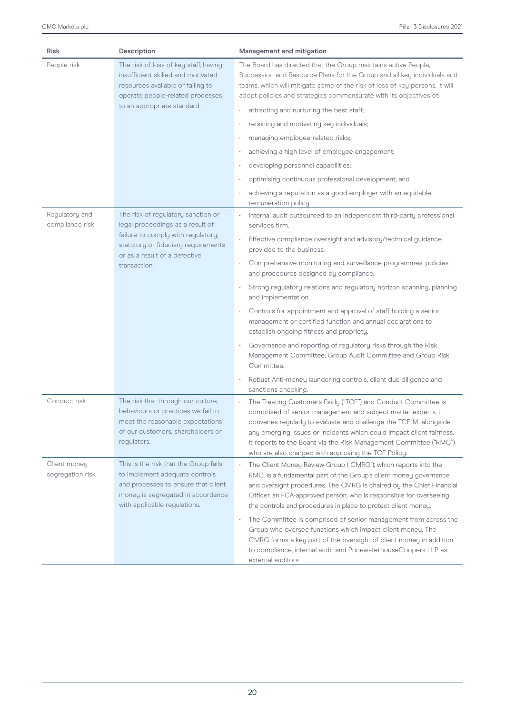| <b>Risk</b>                       | Description                                                                                                                                                                         | Management and mitigation                                                                                                                                                                                                                                                                                                                                                                                |  |  |
|-----------------------------------|-------------------------------------------------------------------------------------------------------------------------------------------------------------------------------------|----------------------------------------------------------------------------------------------------------------------------------------------------------------------------------------------------------------------------------------------------------------------------------------------------------------------------------------------------------------------------------------------------------|--|--|
| People risk                       | The risk of loss of key staff, having<br>insufficient skilled and motivated<br>resources available or failing to<br>operate people-related processes                                | The Board has directed that the Group maintains active People,<br>Succession and Resource Plans for the Group and all key individuals and<br>teams, which will mitigate some of the risk of loss of key persons. It will<br>adopt policies and strategies commensurate with its objectives of:                                                                                                           |  |  |
|                                   | to an appropriate standard.                                                                                                                                                         | attracting and nurturing the best staff;                                                                                                                                                                                                                                                                                                                                                                 |  |  |
|                                   |                                                                                                                                                                                     | retaining and motivating key individuals;                                                                                                                                                                                                                                                                                                                                                                |  |  |
|                                   |                                                                                                                                                                                     | managing employee-related risks;                                                                                                                                                                                                                                                                                                                                                                         |  |  |
|                                   |                                                                                                                                                                                     | achieving a high level of employee engagement;                                                                                                                                                                                                                                                                                                                                                           |  |  |
|                                   |                                                                                                                                                                                     | developing personnel capabilities;                                                                                                                                                                                                                                                                                                                                                                       |  |  |
|                                   |                                                                                                                                                                                     | optimising continuous professional development; and                                                                                                                                                                                                                                                                                                                                                      |  |  |
|                                   |                                                                                                                                                                                     | achieving a reputation as a good employer with an equitable<br>remuneration policy.                                                                                                                                                                                                                                                                                                                      |  |  |
| Regulatory and<br>compliance risk | The risk of regulatory sanction or<br>legal proceedings as a result of                                                                                                              | Internal audit outsourced to an independent third-party professional<br>services firm.                                                                                                                                                                                                                                                                                                                   |  |  |
|                                   | failure to comply with regulatory,<br>statutory or fiduciary requirements<br>or as a result of a defective<br>transaction.                                                          | Effective compliance oversight and advisory/technical guidance<br>provided to the business.                                                                                                                                                                                                                                                                                                              |  |  |
|                                   |                                                                                                                                                                                     | Comprehensive monitoring and surveillance programmes, policies<br>and procedures designed by compliance.                                                                                                                                                                                                                                                                                                 |  |  |
|                                   |                                                                                                                                                                                     | Strong regulatory relations and regulatory horizon scanning, planning<br>and implementation.                                                                                                                                                                                                                                                                                                             |  |  |
|                                   |                                                                                                                                                                                     | Controls for appointment and approval of staff holding a senior<br>$\bullet$<br>management or certified function and annual declarations to<br>establish ongoing fitness and propriety.                                                                                                                                                                                                                  |  |  |
|                                   |                                                                                                                                                                                     | Governance and reporting of regulatory risks through the Risk<br>Management Committee, Group Audit Committee and Group Risk<br>Committee.                                                                                                                                                                                                                                                                |  |  |
|                                   |                                                                                                                                                                                     | Robust Anti-money laundering controls, client due diligence and<br>sanctions checking.                                                                                                                                                                                                                                                                                                                   |  |  |
| Conduct risk                      | The risk that through our culture,<br>behaviours or practices we fail to<br>meet the reasonable expectations<br>of our customers, shareholders or<br>regulators.                    | The Treating Customers Fairly ("TCF") and Conduct Committee is<br>comprised of senior management and subject matter experts, it<br>convenes regularly to evaluate and challenge the TCF MI alongside<br>any emerging issues or incidents which could impact client fairness.<br>It reports to the Board via the Risk Management Committee ("RMC")<br>who are also charged with approving the TCF Policy. |  |  |
| Client money<br>segregation risk  | This is the risk that the Group fails<br>to implement adequate controls<br>and processes to ensure that client<br>money is segregated in accordance<br>with applicable regulations. | The Client Money Review Group ("CMRG"), which reports into the<br>RMC, is a fundamental part of the Group's client money governance<br>and oversight procedures. The CMRG is chaired by the Chief Financial<br>Officer, an FCA-approved person, who is responsible for overseeing<br>the controls and procedures in place to protect client money.                                                       |  |  |
|                                   |                                                                                                                                                                                     | The Committee is comprised of senior management from across the<br>Group who oversee functions which impact client money. The<br>CMRG forms a key part of the oversight of client money in addition<br>to compliance, internal audit and PricewaterhouseCoopers LLP as<br>external auditors.                                                                                                             |  |  |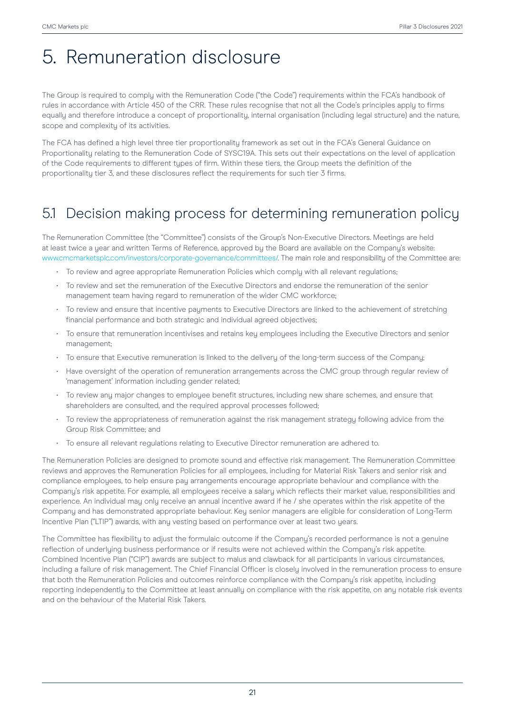# 5. Remuneration disclosure

The Group is required to comply with the Remuneration Code ("the Code") requirements within the FCA's handbook of rules in accordance with Article 450 of the CRR. These rules recognise that not all the Code's principles apply to firms equally and therefore introduce a concept of proportionality, internal organisation (including legal structure) and the nature, scope and complexity of its activities.

The FCA has defined a high level three tier proportionality framework as set out in the FCA's General Guidance on Proportionality relating to the Remuneration Code of SYSC19A. This sets out their expectations on the level of application of the Code requirements to different types of firm. Within these tiers, the Group meets the definition of the proportionality tier 3, and these disclosures reflect the requirements for such tier 3 firms.

## 5.1 Decision making process for determining remuneration policy

The Remuneration Committee (the "Committee") consists of the Group's Non-Executive Directors. Meetings are held at least twice a uear and written Terms of Reference, approved by the Board are available on the Company's website: www.cmcmarketsplc.com/investors/corporate-governance/committees/. The main role and responsibility of the Committee are:

- To review and agree appropriate Remuneration Policies which comply with all relevant regulations;
- To review and set the remuneration of the Executive Directors and endorse the remuneration of the senior management team having regard to remuneration of the wider CMC workforce;
- To review and ensure that incentive payments to Executive Directors are linked to the achievement of stretching financial performance and both strategic and individual agreed objectives;
- To ensure that remuneration incentivises and retains key employees including the Executive Directors and senior management;
- To ensure that Executive remuneration is linked to the delivery of the long-term success of the Company;
- Have oversight of the operation of remuneration arrangements across the CMC group through regular review of 'management' information including gender related;
- To review any major changes to employee benefit structures, including new share schemes, and ensure that shareholders are consulted, and the required approval processes followed;
- To review the appropriateness of remuneration against the risk management strategy following advice from the Group Risk Committee; and
- To ensure all relevant regulations relating to Executive Director remuneration are adhered to.

The Remuneration Policies are designed to promote sound and effective risk management. The Remuneration Committee reviews and approves the Remuneration Policies for all emplouees, including for Material Risk Takers and senior risk and compliance employees, to help ensure pay arrangements encourage appropriate behaviour and compliance with the Company's risk appetite. For example, all employees receive a salary which reflects their market value, responsibilities and experience. An individual may only receive an annual incentive award if he / she operates within the risk appetite of the Company and has demonstrated appropriate behaviour. Key senior managers are eligible for consideration of Long-Term Incentive Plan ("LTIP") awards, with any vesting based on performance over at least two years.

The Committee has flexibility to adjust the formulaic outcome if the Company's recorded performance is not a genuine reflection of underlying business performance or if results were not achieved within the Company's risk appetite. Combined Incentive Plan ("CIP") awards are subject to malus and clawback for all participants in various circumstances, including a failure of risk management. The Chief Financial Officer is closely involved in the remuneration process to ensure that both the Remuneration Policies and outcomes reinforce compliance with the Company's risk appetite, including reporting independently to the Committee at least annually on compliance with the risk appetite, on any notable risk events and on the behaviour of the Material Risk Takers.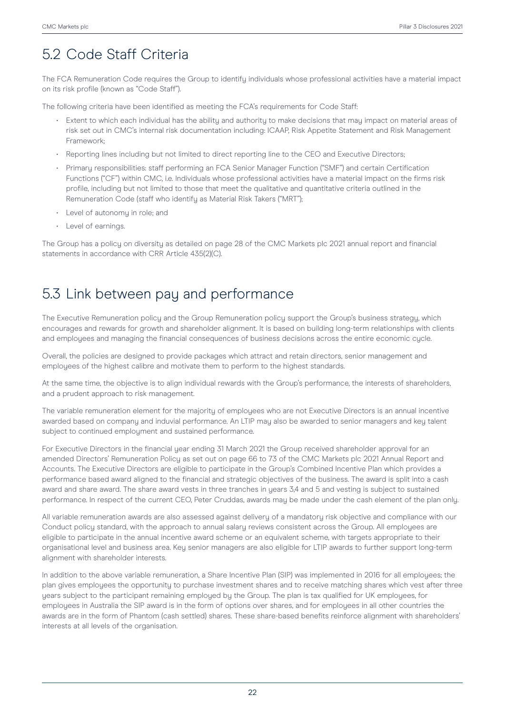## 5.2 Code Staff Criteria

The FCA Remuneration Code requires the Group to identify individuals whose professional activities have a material impact on its risk profile (known as "Code Staff").

The following criteria have been identified as meeting the FCA's requirements for Code Staff:

- Extent to which each individual has the ability and authority to make decisions that may impact on material areas of risk set out in CMC's internal risk documentation including: ICAAP, Risk Appetite Statement and Risk Management Framework;
- Reporting lines including but not limited to direct reporting line to the CEO and Executive Directors;
- Primary responsibilities: staff performing an FCA Senior Manager Function ("SMF") and certain Certification Functions ("CF") within CMC, i.e. Individuals whose professional activities have a material impact on the firms risk profile, including but not limited to those that meet the qualitative and quantitative criteria outlined in the Remuneration Code (staff who identify as Material Risk Takers ("MRT");
- Level of autonomu in role: and
- Level of earnings.

The Group has a policy on diversity as detailed on page 28 of the CMC Markets plc 2021 annual report and financial statements in accordance with CRR Article 435(2)(C).

## 5.3 Link between pay and performance

The Executive Remuneration policy and the Group Remuneration policy support the Group's business strategy, which encourages and rewards for growth and shareholder alignment. It is based on building long-term relationships with clients and employees and managing the financial consequences of business decisions across the entire economic cycle.

Overall, the policies are designed to provide packages which attract and retain directors, senior management and employees of the highest calibre and motivate them to perform to the highest standards.

At the same time, the objective is to align individual rewards with the Group's performance, the interests of shareholders, and a prudent approach to risk management.

The variable remuneration element for the majority of employees who are not Executive Directors is an annual incentive awarded based on company and induvial performance. An LTIP may also be awarded to senior managers and key talent subject to continued employment and sustained performance.

For Executive Directors in the financial year ending 31 March 2021 the Group received shareholder approval for an amended Directors' Remuneration Policy as set out on page 66 to 73 of the CMC Markets plc 2021 Annual Report and Accounts. The Executive Directors are eligible to participate in the Group's Combined Incentive Plan which provides a performance based award aligned to the financial and strategic objectives of the business. The award is split into a cash award and share award. The share award vests in three tranches in years 3,4 and 5 and vesting is subject to sustained performance. In respect of the current CEO, Peter Cruddas, awards may be made under the cash element of the plan only.

All variable remuneration awards are also assessed against delivery of a mandatory risk objective and compliance with our Conduct policy standard, with the approach to annual salary reviews consistent across the Group. All employees are eligible to participate in the annual incentive award scheme or an equivalent scheme, with targets appropriate to their organisational level and business area. Key senior managers are also eligible for LTIP awards to further support long-term alignment with shareholder interests.

In addition to the above variable remuneration, a Share Incentive Plan (SIP) was implemented in 2016 for all employees; the plan gives employees the opportunity to purchase investment shares and to receive matching shares which vest after three years subject to the participant remaining employed by the Group. The plan is tax qualified for UK employees, for employees in Australia the SIP award is in the form of options over shares, and for employees in all other countries the awards are in the form of Phantom (cash settled) shares. These share-based benefits reinforce alignment with shareholders' interests at all levels of the organisation.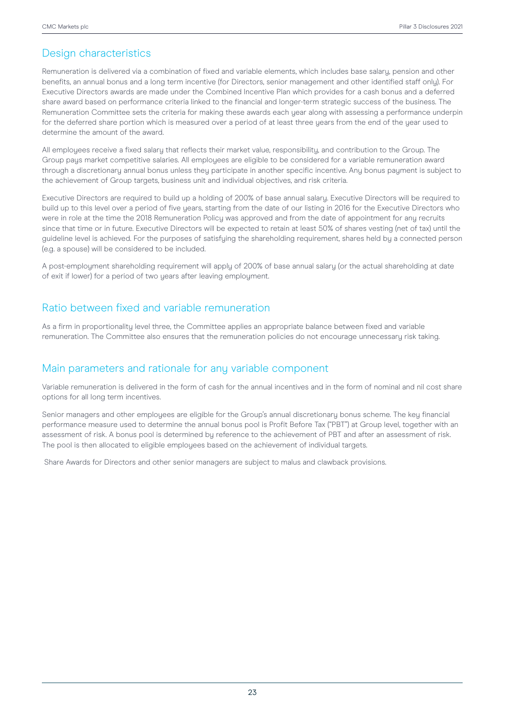## Design characteristics

Remuneration is delivered via a combination of fixed and variable elements, which includes base salary, pension and other benefits, an annual bonus and a long term incentive (for Directors, senior management and other identified staff only). For Executive Directors awards are made under the Combined Incentive Plan which provides for a cash bonus and a deferred share award based on performance criteria linked to the financial and longer-term strategic success of the business. The Remuneration Committee sets the criteria for making these awards each year along with assessing a performance underpin for the deferred share portion which is measured over a period of at least three years from the end of the year used to determine the amount of the award.

All employees receive a fixed salary that reflects their market value, responsibility, and contribution to the Group. The Group pays market competitive salaries. All employees are eligible to be considered for a variable remuneration award through a discretionary annual bonus unless they participate in another specific incentive. Any bonus payment is subject to the achievement of Group targets, business unit and individual objectives, and risk criteria.

Executive Directors are required to build up a holding of 200% of base annual salary. Executive Directors will be required to build up to this level over a period of five years, starting from the date of our listing in 2016 for the Executive Directors who were in role at the time the 2018 Remuneration Policy was approved and from the date of appointment for any recruits since that time or in future. Executive Directors will be expected to retain at least 50% of shares vesting (net of tax) until the guideline level is achieved. For the purposes of satisfuing the shareholding requirement, shares held by a connected person (e.g. a spouse) will be considered to be included.

A post-employment shareholding requirement will apply of 200% of base annual salary (or the actual shareholding at date of exit if lower) for a period of two years after leaving employment.

### Ratio between fixed and variable remuneration

As a firm in proportionality level three, the Committee applies an appropriate balance between fixed and variable remuneration. The Committee also ensures that the remuneration policies do not encourage unnecessary risk taking.

### Main parameters and rationale for any variable component

Variable remuneration is delivered in the form of cash for the annual incentives and in the form of nominal and nil cost share options for all long term incentives.

Senior managers and other emplouees are eligible for the Group's annual discretionary bonus scheme. The key financial performance measure used to determine the annual bonus pool is Profit Before Tax ("PBT") at Group level, together with an assessment of risk. A bonus pool is determined by reference to the achievement of PBT and after an assessment of risk. The pool is then allocated to eligible employees based on the achievement of individual targets.

Share Awards for Directors and other senior managers are subject to malus and clawback provisions.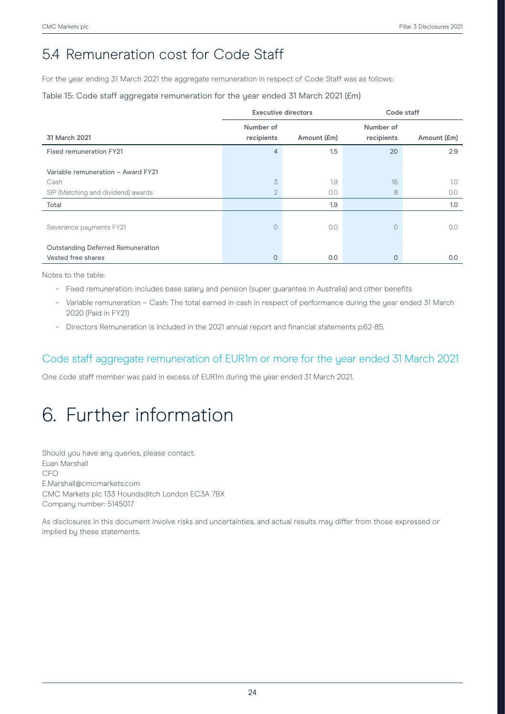## 5.4 Remuneration cost for Code Staff

For the year ending 31 March 2021 the aggregate remuneration in respect of Code Staff was as follows:

### Table 15: Code staff aggregate remuneration for the year ended 31 March 2021 (£m)

|                                          | <b>Executive directors</b> |             | Code staff              |             |
|------------------------------------------|----------------------------|-------------|-------------------------|-------------|
| 31 March 2021                            | Number of<br>recipients    | Amount (£m) | Number of<br>recipients | Amount (£m) |
| <b>Fixed remuneration FY21</b>           | 4                          | 1.5         | 20                      | 2.9         |
| Variable remuneration - Award FY21       |                            |             |                         |             |
| Cash                                     | 3                          | 1.9         | 16                      | 1.0         |
| SIP (Matching and dividend) awards       | $\overline{2}$             | 0.0         | 8                       | 0.0         |
| Total                                    |                            | 1.9         |                         | 1.0         |
| Severance payments FY21                  | $\bigcirc$                 | 0.0         | $\circ$                 | 0.0         |
| <b>Outstanding Deferred Remuneration</b> |                            |             |                         |             |
| Vested free shares                       | 0                          | 0.0         | $\Omega$                | 0.0         |

Notes to the table:

- Fixed remuneration: includes base salary and pension (super guarantee in Australia) and other benefits
- Variable remuneration Cash: The total earned in cash in respect of performance during the uear ended 31 March 2020 (Paid in FY21)
- Directors Remuneration is included in the 2021 annual report and financial statements p.62-85.

### Code staff aggregate remuneration of EUR1m or more for the year ended 31 March 2021

One code staff member was paid in excess of EUR1m during the year ended 31 March 2021.

# 6. Further information

Should you have any queries, please contact: Euan Marshall CFO E.Marshall@cmcmarkets.com CMC Markets plc 133 Houndsditch London EC3A 7BX Company number: 5145017

As disclosures in this document involve risks and uncertainties, and actual results may differ from those expressed or implied by these statements.